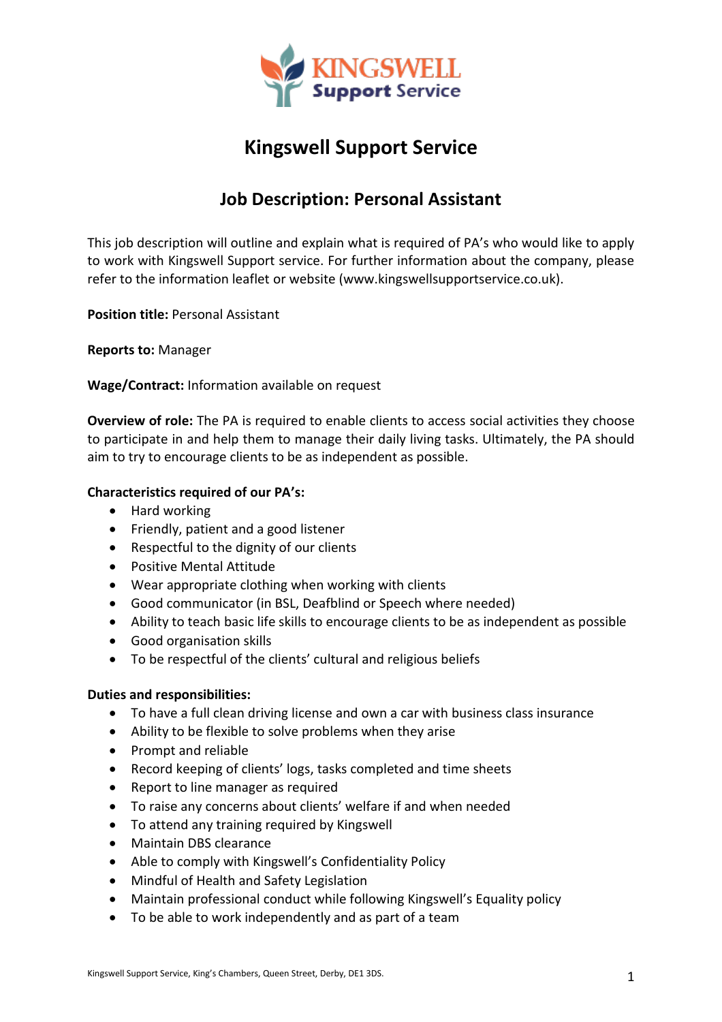

# **Kingswell Support Service**

## **Job Description: Personal Assistant**

This job description will outline and explain what is required of PA's who would like to apply to work with Kingswell Support service. For further information about the company, please refer to the information leaflet or website (www.kingswellsupportservice.co.uk).

**Position title:** Personal Assistant

**Reports to:** Manager

**Wage/Contract:** Information available on request

**Overview of role:** The PA is required to enable clients to access social activities they choose to participate in and help them to manage their daily living tasks. Ultimately, the PA should aim to try to encourage clients to be as independent as possible.

### **Characteristics required of our PA's:**

- Hard working
- Friendly, patient and a good listener
- Respectful to the dignity of our clients
- Positive Mental Attitude
- Wear appropriate clothing when working with clients
- Good communicator (in BSL, Deafblind or Speech where needed)
- Ability to teach basic life skills to encourage clients to be as independent as possible
- Good organisation skills
- To be respectful of the clients' cultural and religious beliefs

#### **Duties and responsibilities:**

- To have a full clean driving license and own a car with business class insurance
- Ability to be flexible to solve problems when they arise
- Prompt and reliable
- Record keeping of clients' logs, tasks completed and time sheets
- Report to line manager as required
- To raise any concerns about clients' welfare if and when needed
- To attend any training required by Kingswell
- Maintain DBS clearance
- Able to comply with Kingswell's Confidentiality Policy
- Mindful of Health and Safety Legislation
- Maintain professional conduct while following Kingswell's Equality policy
- To be able to work independently and as part of a team